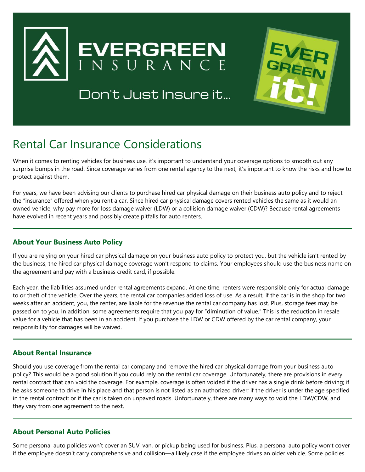

Don't Just Insure it...



# Rental Car Insurance Considerations

When it comes to renting vehicles for business use, it's important to understand your coverage options to smooth out any surprise bumps in the road. Since coverage varies from one rental agency to the next, it's important to know the risks and how to protect against them.

For years, we have been advising our clients to purchase hired car physical damage on their business auto policy and to reject the "insurance" offered when you rent a car. Since hired car physical damage covers rented vehicles the same as it would an owned vehicle, why pay more for loss damage waiver (LDW) or a collision damage waiver (CDW)? Because rental agreements have evolved in recent years and possibly create pitfalls for auto renters.

### **About Your Business Auto Policy**

If you are relying on your hired car physical damage on your business auto policy to protect you, but the vehicle isn't rented by the business, the hired car physical damage coverage won't respond to claims. Your employees should use the business name on the agreement and pay with a business credit card, if possible.

Each year, the liabilities assumed under rental agreements expand. At one time, renters were responsible only for actual damage to or theft of the vehicle. Over the years, the rental car companies added loss of use. As a result, if the car is in the shop for two weeks after an accident, you, the renter, are liable for the revenue the rental car company has lost. Plus, storage fees may be passed on to you. In addition, some agreements require that you pay for "diminution of value." This is the reduction in resale value for a vehicle that has been in an accident. If you purchase the LDW or CDW offered by the car rental company, your responsibility for damages will be waived.

### **About Rental Insurance**

Should you use coverage from the rental car company and remove the hired car physical damage from your business auto policy? This would be a good solution if you could rely on the rental car coverage. Unfortunately, there are provisions in every rental contract that can void the coverage. For example, coverage is often voided if the driver has a single drink before driving; if he asks someone to drive in his place and that person is not listed as an authorized driver; if the driver is under the age specified in the rental contract; or if the car is taken on unpaved roads. Unfortunately, there are many ways to void the LDW/CDW, and they vary from one agreement to the next.

### **About Personal Auto Policies**

Some personal auto policies won't cover an SUV, van, or pickup being used for business. Plus, a personal auto policy won't cover if the employee doesn't carry comprehensive and collision—a likely case if the employee drives an older vehicle. Some policies